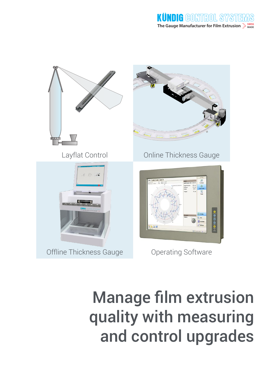

Manage film extrusion quality with measuring and control upgrades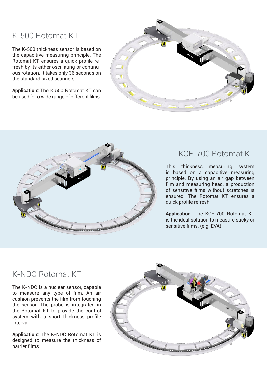# K-500 Rotomat KT

The K-500 thickness sensor is based on the capacitive measuring principle. The Rotomat KT ensures a quick profile refresh by its either oscillating or continuous rotation. It takes only 36 seconds on the standard sized scanners.

**Application:** The K-500 Rotomat KT can be used for a wide range of different films.





## KCF-700 Rotomat KT

This thickness measuring system is based on a capacitive measuring principle. By using an air gap between film and measuring head, a production of sensitive films without scratches is ensured. The Rotomat KT ensures a quick profile refresh.

**Application:** The KCF-700 Rotomat KT is the ideal solution to measure sticky or sensitive films. (e.g. EVA)

# K-NDC Rotomat KT

The K-NDC is a nuclear sensor, capable to measure any type of film. An air cushion prevents the film from touching the sensor. The probe is integrated in the Rotomat KT to provide the control system with a short thickness profile interval.

**Application:** The K-NDC Rotomat KT is designed to measure the thickness of barrier films.

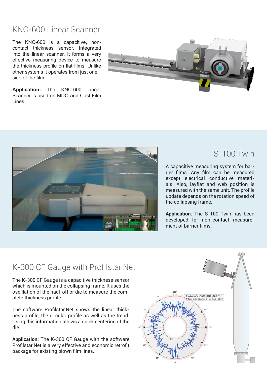#### KNC-600 Linear Scanner

The KNC-600 is a capacitive, noncontact thickness sensor. Integrated into the linear scanner, it forms a very effective measuring device to measure the thickness profile on flat films. Unlike other systems it operates from just one side of the film.

**Application:** The KNC-600 Linear Scanner is used on MDO and Cast Film Lines.





#### S-100 Twin

A capacitive measuring system for barrier films. Any film can be measured except electrical conductive materials. Also, layflat and web position is measured with the same unit. The profile update depends on the rotation speed of the collapsing frame.

**Application:** The S-100 Twin has been developed for non-contact measurement of barrier films.

#### K-300 CF Gauge with Profilstar.Net

The K-300 CF Gauge is a capacitive thickness sensor which is mounted on the collapsing frame. It uses the oscillation of the haul-off or die to measure the complete thickness profile.

The software Profilstar.Net shows the linear thickness profile, the circular profile as well as the trend. Using this information allows a quick centering of the die.

**Application:** The K-300 CF Gauge with the software Profilstar.Net is a very effective and economic retrofit package for existing blown film lines.